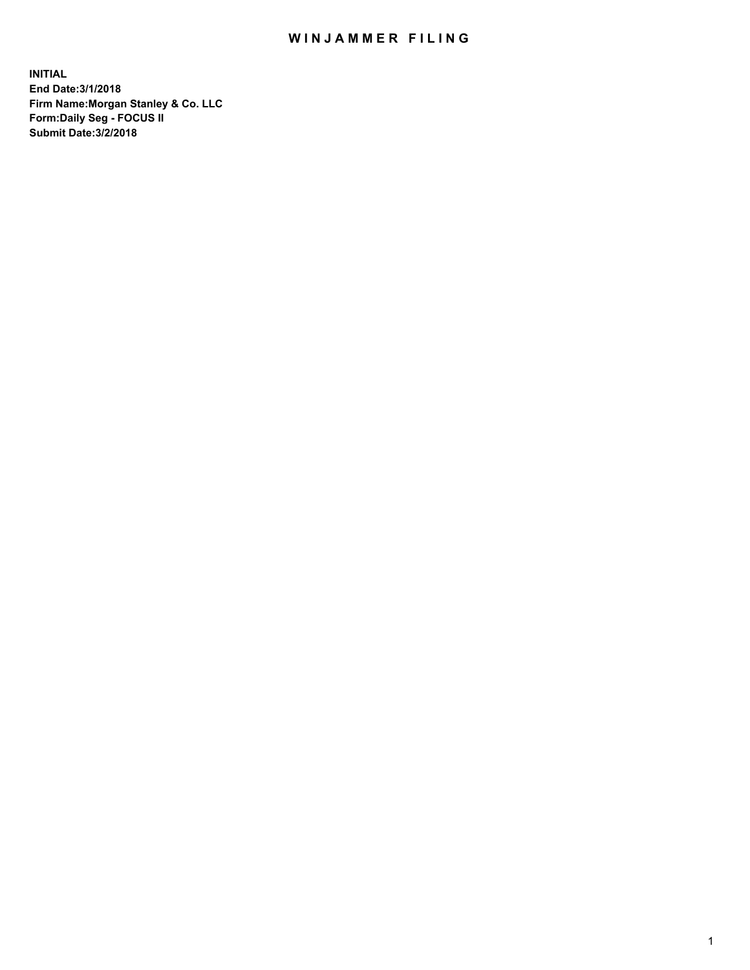## WIN JAMMER FILING

**INITIAL End Date:3/1/2018 Firm Name:Morgan Stanley & Co. LLC Form:Daily Seg - FOCUS II Submit Date:3/2/2018**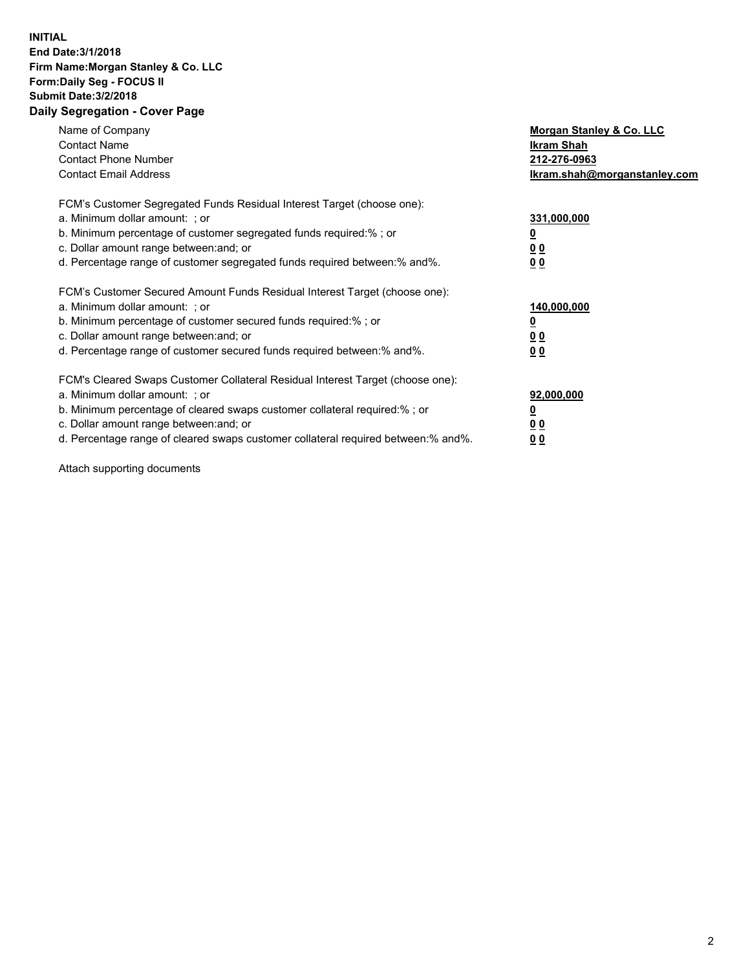## **INITIAL End Date:3/1/2018 Firm Name:Morgan Stanley & Co. LLC Form:Daily Seg - FOCUS II Submit Date:3/2/2018 Daily Segregation - Cover Page**

| Name of Company<br><b>Contact Name</b><br><b>Contact Phone Number</b><br><b>Contact Email Address</b>                                                                                                                                                                                                                          | Morgan Stanley & Co. LLC<br>Ikram Shah<br>212-276-0963<br>Ikram.shah@morganstanley.com |
|--------------------------------------------------------------------------------------------------------------------------------------------------------------------------------------------------------------------------------------------------------------------------------------------------------------------------------|----------------------------------------------------------------------------------------|
| FCM's Customer Segregated Funds Residual Interest Target (choose one):<br>a. Minimum dollar amount: ; or<br>b. Minimum percentage of customer segregated funds required:% ; or<br>c. Dollar amount range between: and; or<br>d. Percentage range of customer segregated funds required between:% and%.                         | 331,000,000<br><u>0</u><br>00<br>00                                                    |
| FCM's Customer Secured Amount Funds Residual Interest Target (choose one):<br>a. Minimum dollar amount: ; or<br>b. Minimum percentage of customer secured funds required:%; or<br>c. Dollar amount range between: and; or<br>d. Percentage range of customer secured funds required between:% and%.                            | 140,000,000<br>0 <sub>0</sub><br>00                                                    |
| FCM's Cleared Swaps Customer Collateral Residual Interest Target (choose one):<br>a. Minimum dollar amount: ; or<br>b. Minimum percentage of cleared swaps customer collateral required:% ; or<br>c. Dollar amount range between: and; or<br>d. Percentage range of cleared swaps customer collateral required between:% and%. | 92,000,000<br><u>00</u><br>00                                                          |

Attach supporting documents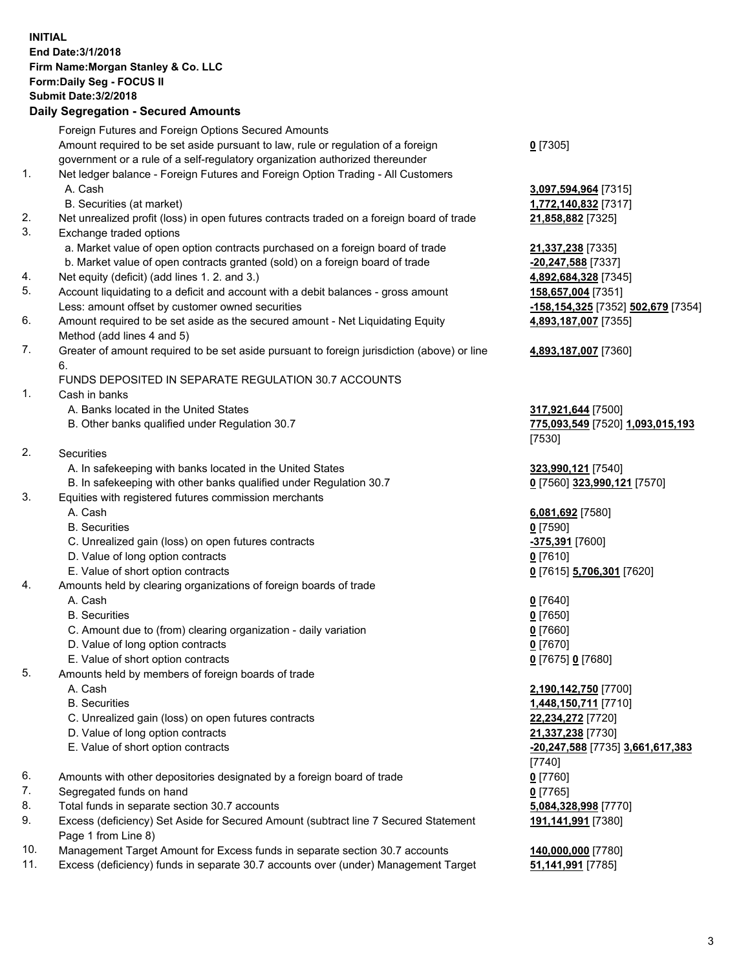## **INITIAL End Date:3/1/2018 Firm Name:Morgan Stanley & Co. LLC Form:Daily Seg - FOCUS II Submit Date:3/2/2018 Daily Segregation - Secured Amounts**

Foreign Futures and Foreign Options Secured Amounts Amount required to be set aside pursuant to law, rule or regulation of a foreign government or a rule of a self-regulatory organization authorized thereunder **0** [7305] 1. Net ledger balance - Foreign Futures and Foreign Option Trading - All Customers A. Cash **3,097,594,964** [7315] B. Securities (at market) **1,772,140,832** [7317] 2. Net unrealized profit (loss) in open futures contracts traded on a foreign board of trade **21,858,882** [7325] 3. Exchange traded options a. Market value of open option contracts purchased on a foreign board of trade **21,337,238** [7335] b. Market value of open contracts granted (sold) on a foreign board of trade **-20,247,588** [7337] 4. Net equity (deficit) (add lines 1. 2. and 3.) **4,892,684,328** [7345] 5. Account liquidating to a deficit and account with a debit balances - gross amount **158,657,004** [7351] Less: amount offset by customer owned securities **-158,154,325** [7352] **502,679** [7354] 6. Amount required to be set aside as the secured amount - Net Liquidating Equity Method (add lines 4 and 5) 7. Greater of amount required to be set aside pursuant to foreign jurisdiction (above) or line 6. FUNDS DEPOSITED IN SEPARATE REGULATION 30.7 ACCOUNTS 1. Cash in banks A. Banks located in the United States **317,921,644** [7500] B. Other banks qualified under Regulation 30.7 **775,093,549** [7520] **1,093,015,193** [7530] 2. Securities A. In safekeeping with banks located in the United States **323,990,121** [7540] B. In safekeeping with other banks qualified under Regulation 30.7 **0** [7560] **323,990,121** [7570] 3. Equities with registered futures commission merchants A. Cash **6,081,692** [7580] B. Securities **0** [7590] C. Unrealized gain (loss) on open futures contracts **-375,391** [7600] D. Value of long option contracts **0** [7610] E. Value of short option contracts **0** [7615] **5,706,301** [7620] 4. Amounts held by clearing organizations of foreign boards of trade A. Cash **0** [7640] B. Securities **0** [7650] C. Amount due to (from) clearing organization - daily variation **0** [7660] D. Value of long option contracts **0** [7670] E. Value of short option contracts **0** [7675] **0** [7680] 5. Amounts held by members of foreign boards of trade A. Cash **2,190,142,750** [7700] B. Securities **1,448,150,711** [7710] C. Unrealized gain (loss) on open futures contracts **22,234,272** [7720] D. Value of long option contracts **21,337,238** [7730] E. Value of short option contracts **-20,247,588** [7735] **3,661,617,383** [7740] 6. Amounts with other depositories designated by a foreign board of trade **0** [7760] 7. Segregated funds on hand **0** [7765] 8. Total funds in separate section 30.7 accounts **5,084,328,998** [7770] 9. Excess (deficiency) Set Aside for Secured Amount (subtract line 7 Secured Statement Page 1 from Line 8)

- 10. Management Target Amount for Excess funds in separate section 30.7 accounts **140,000,000** [7780]
- 11. Excess (deficiency) funds in separate 30.7 accounts over (under) Management Target **51,141,991** [7785]

**4,893,187,007** [7355]

## **4,893,187,007** [7360]

**191,141,991** [7380]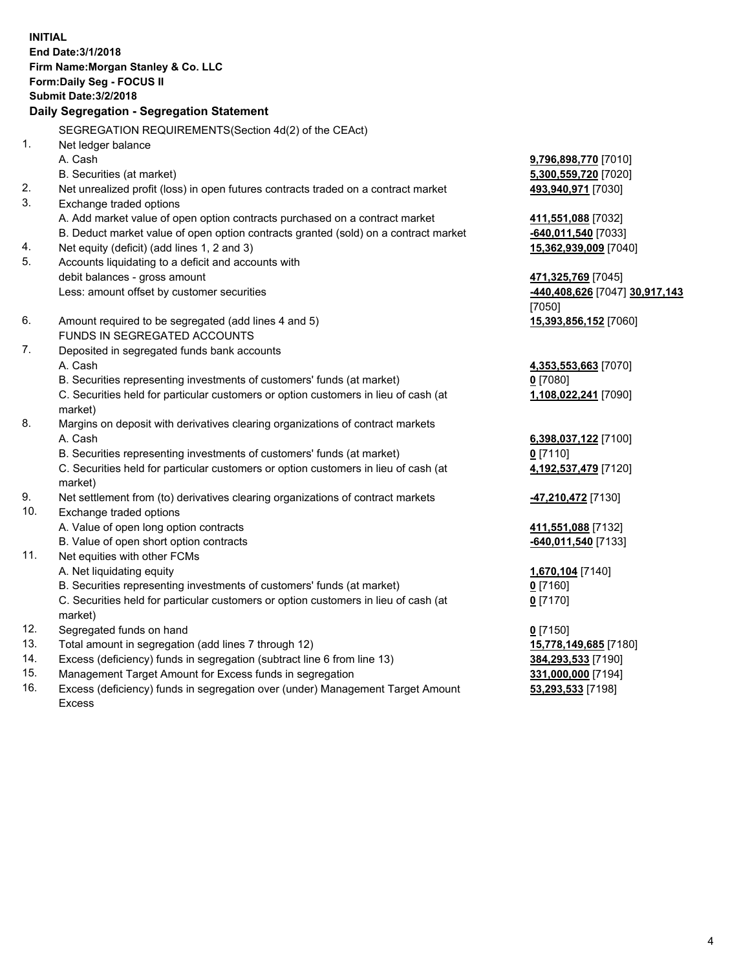**INITIAL End Date:3/1/2018 Firm Name:Morgan Stanley & Co. LLC Form:Daily Seg - FOCUS II Submit Date:3/2/2018 Daily Segregation - Segregation Statement** SEGREGATION REQUIREMENTS(Section 4d(2) of the CEAct) 1. Net ledger balance A. Cash **9,796,898,770** [7010] B. Securities (at market) **5,300,559,720** [7020] 2. Net unrealized profit (loss) in open futures contracts traded on a contract market **493,940,971** [7030] 3. Exchange traded options A. Add market value of open option contracts purchased on a contract market **411,551,088** [7032] B. Deduct market value of open option contracts granted (sold) on a contract market **-640,011,540** [7033] 4. Net equity (deficit) (add lines 1, 2 and 3) **15,362,939,009** [7040] 5. Accounts liquidating to a deficit and accounts with debit balances - gross amount **471,325,769** [7045] Less: amount offset by customer securities **-440,408,626** [7047] **30,917,143** [7050] 6. Amount required to be segregated (add lines 4 and 5) **15,393,856,152** [7060] FUNDS IN SEGREGATED ACCOUNTS 7. Deposited in segregated funds bank accounts A. Cash **4,353,553,663** [7070] B. Securities representing investments of customers' funds (at market) **0** [7080] C. Securities held for particular customers or option customers in lieu of cash (at market) **1,108,022,241** [7090] 8. Margins on deposit with derivatives clearing organizations of contract markets A. Cash **6,398,037,122** [7100] B. Securities representing investments of customers' funds (at market) **0** [7110] C. Securities held for particular customers or option customers in lieu of cash (at market) **4,192,537,479** [7120] 9. Net settlement from (to) derivatives clearing organizations of contract markets **-47,210,472** [7130] 10. Exchange traded options A. Value of open long option contracts **411,551,088** [7132] B. Value of open short option contracts **-640,011,540** [7133] 11. Net equities with other FCMs A. Net liquidating equity **1,670,104** [7140] B. Securities representing investments of customers' funds (at market) **0** [7160] C. Securities held for particular customers or option customers in lieu of cash (at market) **0** [7170] 12. Segregated funds on hand **0** [7150] 13. Total amount in segregation (add lines 7 through 12) **15,778,149,685** [7180] 14. Excess (deficiency) funds in segregation (subtract line 6 from line 13) **384,293,533** [7190] 15. Management Target Amount for Excess funds in segregation **331,000,000** [7194] 16. Excess (deficiency) funds in segregation over (under) Management Target Amount **53,293,533** [7198]

Excess